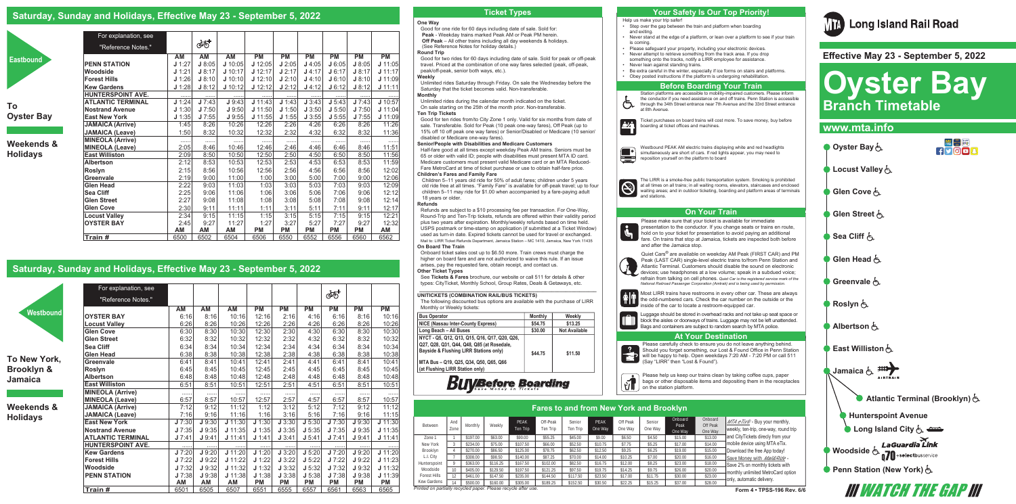#### **One Way**

Good for one ride for 60 days including date of sale. Sold for: **Peak** - Weekday trains marked Peak AM or Peak PM herein.  **Off Peak** – All other trains including all day weekends & holidays. (See Reference Notes for holiday details.)

#### **Round Trip**

Good for two rides for 60 days including date of sale. Sold for peak or off-peak travel. Priced at the combination of one way fares selected (peak, off-peak, peak/off-peak, senior both ways, etc.).

#### **Weekly**

Unlimited rides Saturday through Friday. On sale the Wednesday before the Saturday that the ticket becomes valid. Non-transferable. **Monthly**

Unlimited rides during the calendar month indicated on the ticket. On sale starting on the 25th of the month prior. Non-transferable. **Ten Trip Tickets**

Good for ten rides from/to City Zone 1 only. Valid for six months from date of sale. Transferable. Sold for Peak (10 peak one-way fares), Off Peak (up to 15% off 10 off peak one way fares) or Senior/Disabled or Medicare (10 senior/ disabled or Medicare one-way fares).

#### **Senior/People with Disabilities and Medicare Customers**

Half-fare good at all times except weekday Peak AM trains. Seniors must be 65 or older with valid ID; people with disabilities must present MTA ID card. Medicare customers must present valid Medicare card or an MTA Reduced-Fare MetroCard at time of ticket purchase or use to obtain half-fare price.

#### **Children's Fares and Family Fare**

Children 5–11 years old ride for 50% of adult fares; children under 5 years old ride free at all times. "Family Fare" is available for off-peak travel; up to four children 5–11 may ride for \$1.00 when accompanied by a fare-paying adult 18 years or older.

> Please make sure that your ticket is available for immediate presentation to the conductor. If you change seats or trains en route, hold on to your ticket for presentation to avoid paying an additional fare. On trains that stop at Jamaica, tickets are inspected both before

#### **Refunds**

Refunds are subject to a \$10 processing fee per transaction. For One-Way, Round-Trip and Ten-Trip tickets, refunds are offered within their validity period plus two years after expiration. Monthly/weekly refunds based on time held. USPS postmark or time-stamp on application (if submitted at a Ticket Window) used as turn-in date. Expired tickets cannot be used for travel or exchanged. Mail to: LIRR Ticket Refunds Department, Jamaica Station – MC 1410, Jamaica, New York 11435 **On Board The Train**

Onboard ticket sales cost up to \$6.50 more. Train crews must charge the higher on board fare and are not authorized to waive this rule. If an issue arises, pay the requested fare, obtain receipt, and contact us. **Other Ticket Types** 

See **Tickets & Fares** brochure, our website or call 511 for details & other types: CityTicket, Monthly School, Group Rates, Deals & Getaways, etc.

## **\_\_\_\_\_\_\_\_\_\_\_\_\_\_\_\_\_\_\_\_\_\_\_\_\_\_\_\_\_\_\_\_\_\_\_\_\_\_\_\_\_\_\_\_\_\_\_\_\_\_\_\_\_\_\_\_\_\_\_\_\_\_\_ UNITICKETS (COMBINATION RAIL/BUS TICKETS)**

S and stations.



| <b>Bus Operator</b>                                                                                                                   | <b>Monthly</b> | Weekly               |
|---------------------------------------------------------------------------------------------------------------------------------------|----------------|----------------------|
| NICE (Nassau Inter-County Express)                                                                                                    | \$54.75        | \$13.25              |
| Long Beach - All Buses                                                                                                                | \$30.00        | <b>Not Available</b> |
| NYCT - Q5, Q12, Q13, Q15, Q16, Q17, Q20, Q26,<br>Q27, Q28, Q31, Q44, Q48, Q85 (at Rosedale,<br>Bayside & Flushing LIRR Stations only) | \$44.75        | \$11.50              |
| MTA Bus - Q19, Q25, Q34, Q50, Q65, Q66<br>(at Flushing LIRR Station only)                                                             |                |                      |

and after the Jamaica stop.

Quiet Cars® are available on weekday AM Peak (FIRST CAR) and PM Peak (LAST CAR) single-level electric trains to/from Penn Station and Atlantic Terminal. Customers should disable the sound on electronic devices; use headphones at a low volume; speak in a subdued voice; refrain from talking on cell phones. *Quiet Car is the registered service mark of the National Railroad Passenger Corporation (Amtrak) and is being used by permission.*

Help us make your trip safer!

• Step over the gap between the train and platform when boarding

• Never stand at the edge of a platform, or lean over a platform to see if your train

• Please safeguard your property, including your electronic devices.

- and exiting.
- is coming.
- Never attempt to retrieve something from the track area. If you drop
- something onto the tracks, notify a LIRR employee for assistance.
- Never lean against standing trains.
- Obey posted instructions if the platform is undergoing rehabilitation.

• Be extra careful in the winter, especially if ice forms on stairs and platforms.

Station platforms are accessible to mobility-impaired customers. Please inform the conductor if you need assistance on and off trains. Penn Station is accessible through the 34th Street entrance near 7th Avenue and the 33rd Street entrance

at 8th Avenue.

Ticket purchases on board trains will cost more. To save money, buy before

|              | Pares to and from New Tork and Brooklyn                                                  |          |          |                         |                      |                    |                 |                     |                   |                            |                                |                                                                                          |  |
|--------------|------------------------------------------------------------------------------------------|----------|----------|-------------------------|----------------------|--------------------|-----------------|---------------------|-------------------|----------------------------|--------------------------------|------------------------------------------------------------------------------------------|--|
| Between      | And<br>Zone                                                                              | Monthly  | Weekly   | <b>PFAK</b><br>Ten Trip | Off-Peak<br>Ten Trip | Senior<br>Ten Trip | PFAK<br>One Way | Off Peak<br>One Wav | Senior<br>One Way | Onboard<br>Peak<br>One Way | Onboard<br>Off Peak<br>One Way | $MTA$ $eTix^{\circledcirc}$ - Buy your monthly,<br>weekly, ten-trip, one-way, round trip |  |
| Zone 1       |                                                                                          | \$197.00 | \$63.00  | \$90.00                 | \$55.25              | \$45.00            | \$9.00          | \$6.50              | \$4.50            | \$15.00                    | \$13.00                        | and CityTickets direcly from your                                                        |  |
| New York     |                                                                                          | \$234.00 | \$75.00  | \$107.50                | \$66.00              | \$52.50            | \$10.75         | \$7.75              | \$5.25            | \$17.00                    | \$14.00                        | mobile device using MTA eTix.                                                            |  |
| Brooklyn     |                                                                                          | \$270.00 | \$86.50  | \$125.00                | \$78.75              | \$62.50            | \$12.50         | \$9.25              | \$6.25            | \$19.00                    | \$15.00                        | Download the free App today!                                                             |  |
| L.I. City    |                                                                                          | \$308.00 | \$98.50  | \$140.00                | \$87.25              | \$70.00            | \$14.00         | \$10.25             | \$7.00            | \$20.00                    | \$16.00                        | Save Money with Mail&Ride -                                                              |  |
| Hunterspoint |                                                                                          | \$363.00 | \$116.25 | \$167.50                | \$102.00             | \$82.50            | \$16.75         | \$12.00             | \$8.25            | \$23.00                    | \$18.00                        | Save 2% on monthly tickets with                                                          |  |
| Woodside     | 10                                                                                       | \$405.00 | \$129.50 | \$197.50                | \$121.25             | \$97.50            | \$19.75         | \$14.25             | \$9.75            | \$26.00                    | \$20.00                        | monthly unlimited MetroCard option                                                       |  |
| Forest Hills | IJ                                                                                       | \$461.00 | \$147.50 | \$235.00                | \$144.50             | \$117.50           | \$23.50         | \$17.00             | \$11.75           | \$30.00                    | \$23.00                        |                                                                                          |  |
| Kew Gardens  | 14                                                                                       | \$500.00 | \$160.00 | \$305.00                | \$189.25             | \$152.50           | \$30.50         | \$22.25             | \$15.25           | \$37.00                    | \$28.00                        | only, automatic delivery.                                                                |  |
|              | inted on partially recycled paper. Please recycle after use.<br>Form 4 • TPSS-196 Rev. 6 |          |          |                         |                      |                    |                 |                     |                   |                            |                                |                                                                                          |  |

boarding at ticket offices and machines.

Westbound PEAK AM electric trains displaying white and red headlights simultaneously are short of cars. If red lights appear, you may need to



The LIRR is a smoke-free public transportation system. Smoking is prohibited at all times on all trains; in all waiting rooms, elevators, staircases and enclosed waiting areas; and in outdoor ticketing, boarding and platform areas of terminals



## **Saturday, Sunday and Holidays, Effective May 23 - September 5, 2022**



**To Oyster Bay**

## **Weekends & Holidays**

**To New York, Brooklyn & Jamaica**

**Weekends & Holidays**

| For explanation, see     |          |        |           |           |           |           |           |           |           |
|--------------------------|----------|--------|-----------|-----------|-----------|-----------|-----------|-----------|-----------|
| "Reference Notes."       |          | ණ්     |           |           |           |           |           |           |           |
|                          | AM       | AM     | AM        | <b>PM</b> | <b>PM</b> | <b>PM</b> | <b>PM</b> | <b>PM</b> | <b>PM</b> |
| <b>PENN STATION</b>      | J 1:27   | J 8:05 | J 10:05   | $J$ 12:05 | J2:05     | J4:05     | J6:05     | J8:05     | J 11:05   |
| Woodside                 | J 1:21   | J 8:17 | J 10:17   | $J$ 12:17 | J2:17     | J4:17     | J6:17     | J 8:17    | J 11:17   |
| <b>Forest Hills</b>      | J 1:26   | J 8:10 | $J$ 10:10 | $J$ 12:10 | J2:10     | $J$ 4:10  | J 6:10    | J 8:10    | $J$ 11:09 |
| Kew Gardens              | J 1:28   | J 8:12 | J 10:12   | J 12:12   | J2:12     | J4:12     | J 6:12    | J 8:12    | J 11:11   |
| HUNTERSPOINT AVE.        | .        | .      | .         | .         |           | .         |           | .         |           |
| <b>ATLANTIC TERMINAL</b> | J 1:24   | J7:43  | J9:43     | $J$ 11:43 | J 1:43    | J3:43     | J 5:43    | J7:43     | J 10:57   |
| <b>Nostrand Avenue</b>   | J 1:30   | J7:50  | J9:50     | $J$ 11:50 | J 1:50    | J3:50     | J 5:50    | J7:50     | J 11:04   |
| <b>East New York</b>     | $J$ 1:35 | J7:55  | J9:55     | $J$ 11:55 | $J$ 1:55  | J3:55     | J 5:55    | J7:55     | J 11:09   |
| <b>JAMAICA (Arrive)</b>  | 1:45     | 8:26   | 10:26     | 12:26     | 2:26      | 4:26      | 6:26      | 8:26      | 11:26     |
| JAMAICA (Leave)          | 1:50     | 8:32   | 10:32     | 12:32     | 2:32      | 4:32      | 6:32      | 8:32      | 11:36     |
| <b>MINEOLA (Arrive)</b>  | .        | .      | .         | .         | .         | .         | .         | .         | .         |
| MINEOLA (Leave)          | 2:05     | 8:46   | 10:46     | 12:46     | 2:46      | 4:46      | 6:46      | 8:46      | 11:51     |
| <b>East Williston</b>    | 2:09     | 8:50   | 10:50     | 12:50     | 2:50      | 4:50      | 6:50      | 8:50      | 11:56     |
| Albertson                | 2:12     | 8:53   | 10:53     | 12:53     | 2:53      | 4:53      | 6:53      | 8:53      | 11:59     |
| Roslyn                   | 2:15     | 8:56   | 10:56     | 12:56     | 2:56      | 4:56      | 6:56      | 8:56      | 12:02     |
| <b>Greenvale</b>         | 2:19     | 9:00   | 11:00     | 1:00      | 3:00      | 5:00      | 7:00      | 9:00      | 12:06     |
| <b>Glen Head</b>         | 2:22     | 9:03   | 11:03     | 1:03      | 3:03      | 5:03      | 7:03      | 9:03      | 12:09     |
| <b>Sea Cliff</b>         | 2:25     | 9:06   | 11:06     | 1:06      | 3:06      | 5:06      | 7:06      | 9:06      | 12:12     |
| <b>Glen Street</b>       | 2:27     | 9:08   | 11:08     | 1:08      | 3:08      | 5:08      | 7:08      | 9:08      | 12:14     |
| <b>Glen Cove</b>         | 2:30     | 9:11   | 11:11     | 1:11      | 3:11      | 5:11      | 7:11      | 9:11      | 12:17     |
| <b>Locust Valley</b>     | 2:34     | 9:15   | 11:15     | 1:15      | 3:15      | 5:15      | 7:15      | 9:15      | 12:21     |
| <b>OYSTER BAY</b>        | 2:45     | 9:27   | 11:27     | 1:27      | 3:27      | 5:27      | 7:27      | 9:27      | 12:32     |
|                          | АM       | AM     | AM        | <b>PM</b> | <b>PM</b> | <b>PM</b> | <b>PM</b> | <b>PM</b> | AM        |
| Train #                  | 6500     | 6502   | 6504      | 6506      | 6550      | 6552      | 6556      | 6560      | 6562      |

## **Saturday, Sunday and Holidays, Effective May 23 - September 5, 2022**

**Westboun** 

|                                            |          |           |         |                    |           |           |           |           |           | types: CityTicket, Monthly School, Group Rates, Deals & Getaways, etc. |                                                                                                                                  |                   |                     |                                 |                    |                                                |                   |                    |                  |                                   |                            | National Railroad Passenger Corporation (Amtrak) and is being used by permission.                                                              |
|--------------------------------------------|----------|-----------|---------|--------------------|-----------|-----------|-----------|-----------|-----------|------------------------------------------------------------------------|----------------------------------------------------------------------------------------------------------------------------------|-------------------|---------------------|---------------------------------|--------------------|------------------------------------------------|-------------------|--------------------|------------------|-----------------------------------|----------------------------|------------------------------------------------------------------------------------------------------------------------------------------------|
| For explanation, see<br>"Reference Notes." |          |           |         |                    |           |           |           |           |           |                                                                        | <b>UNITICKETS (COMBINATION RAIL/BUS TICKETS)</b><br>The following discounted bus options are available with the purchase of LIRR |                   |                     |                                 |                    |                                                |                   |                    |                  |                                   |                            | Most LIRR trains have restrooms in every other car. These are always<br>the odd-numbered cars. Check the car number on the outside or the      |
|                                            | AM       | <b>AM</b> | ΑM      | <b>PM</b>          | <b>PM</b> | РM        | <b>PM</b> | <b>PM</b> | <b>PM</b> | Monthly or Weekly tickets:                                             |                                                                                                                                  |                   |                     |                                 |                    |                                                |                   |                    |                  |                                   |                            | inside of the car to locate a restroom-equipped car.                                                                                           |
| <b>OYSTER BAY</b>                          | 6:16     | 8:16      | 10:16   | 12:16              | 2:16      | 4:16      | 6:16      | 8:16      | 10:16     | <b>Bus Operator</b>                                                    |                                                                                                                                  |                   |                     |                                 | <b>Monthly</b>     | Weekly                                         |                   |                    |                  |                                   |                            | Luggage should be stored in overhead racks and not take up seat space or                                                                       |
| <b>Locust Vallev</b>                       | 6:26     | 8:26      | 10:26   | 12:26              | 2:26      | 4:26      | 6:26      | 8:26      | 10:26     | NICE (Nassau Inter-County Express)                                     |                                                                                                                                  |                   |                     |                                 | \$54.75            | \$13.25                                        |                   |                    |                  |                                   |                            | block the aisles or doorways of trains. Luggage may not be left unattended.<br>Bags and containers are subject to random search by MTA police. |
| <b>Glen Cove</b>                           | 6:30     | 8:30      | 10:30   | 12:30              | 2:30      | 4:30      | 6:30      | 8:30      | 10:30     | Long Beach - All Buses                                                 |                                                                                                                                  |                   |                     |                                 | \$30.00            | <b>Not Available</b>                           |                   |                    |                  |                                   |                            |                                                                                                                                                |
| <b>Glen Street</b>                         | 6:32     | 8:32      | 10:32   | 12:32              | 2:32      | 4:32      | 6:32      | 8:32      | 10:32     | NYCT - Q5. Q12. Q13. Q15. Q16. Q17. Q20. Q26.                          |                                                                                                                                  |                   |                     |                                 |                    |                                                |                   |                    |                  |                                   | <b>At Your Destination</b> |                                                                                                                                                |
| <b>Sea Cliff</b>                           | 6:34     | 8:34      | 10:34   | 12:34              | 2:34      | 4:34      | 6:34      | 8:34      | 10:34     | Q27, Q28, Q31, Q44, Q48, Q85 (at Rosedale,                             |                                                                                                                                  |                   |                     |                                 |                    |                                                |                   |                    |                  |                                   |                            | Please carefully check to ensure you do not leave anything behind.                                                                             |
| <b>Glen Head</b>                           | 6:38     | 8:38      | 10:38   | 12:38              | 2:38      | 4:38      | 6:38      | 8:38      | 10:38     | Bayside & Flushing LIRR Stations only)                                 |                                                                                                                                  |                   |                     |                                 | \$44.75            | \$11.50                                        |                   |                    |                  |                                   |                            | Should you forget something, our Lost & Found Office in Penn Station<br>will be happy to help. Open weekdays 7:20 AM - 7:20 PM or call 511     |
| <b>Greenvale</b>                           | 6:41     | 8:41      | 10:41   | 12:41              | 2:4'      | 4:41      | 6:41      | 8:41      | 10:41     | MTA Bus - Q19, Q25, Q34, Q50, Q65, Q66                                 |                                                                                                                                  |                   |                     |                                 |                    |                                                |                   |                    |                  | (Say "LIRR" then "Lost & Found"). |                            |                                                                                                                                                |
| Roslyn                                     | 6:45     | 8:45      | 10:45   | 12:45              | 2:45      | 4:45      | 6:45      | 8:45      | 10:45     | (at Flushing LIRR Station only)                                        |                                                                                                                                  |                   |                     |                                 |                    |                                                |                   |                    |                  |                                   |                            |                                                                                                                                                |
| <b>Albertson</b>                           | 6:48     | 8:48      | 10:48   | 12:48              | 2:48      | 4:48      | 6:48      | 8:48      | 10:48     |                                                                        |                                                                                                                                  |                   |                     |                                 |                    |                                                |                   |                    |                  |                                   |                            | Please help us keep our trains clean by taking coffee cups, paper                                                                              |
| <b>East Williston</b>                      | 6:51     | 8:51      | 10:51   | 12:51              | 2:51      | 4:51      | 6:51      | 8:51      | 10:51     |                                                                        |                                                                                                                                  |                   |                     | <i><b>UyBefore Boarding</b></i> |                    |                                                |                   |                    |                  | on the station platform.          |                            | bags or other disposable items and depositing them in the receptacles                                                                          |
| <b>MINEOLA (Arrive)</b>                    | .        |           | .       | .                  |           |           |           | $\cdots$  |           |                                                                        |                                                                                                                                  |                   |                     |                                 |                    |                                                |                   |                    |                  |                                   |                            |                                                                                                                                                |
| <b>MINEOLA (Leave)</b>                     | 6:57     | 8:57      | 10:57   | 12:57              | 2:57      | 4:57      | 6:57      | 8:57      | 10:57     |                                                                        |                                                                                                                                  |                   |                     |                                 |                    |                                                |                   |                    |                  |                                   |                            |                                                                                                                                                |
| <b>JAMAICA (Arrive)</b>                    | 7:12     | 9:12      | 11:12   | 1:12               | 3:12      | 5:12      | 7:12      | 9:12      | 11:12     |                                                                        |                                                                                                                                  |                   |                     |                                 |                    | <b>Fares to and from New York and Brooklyn</b> |                   |                    |                  |                                   |                            |                                                                                                                                                |
| <b>JAMAICA (Leave)</b>                     | 7:16     | 9:16      | 11:16   | 1:16               | 3:16      | 5:16      | 7:16      | 9:16      | 11:15     |                                                                        |                                                                                                                                  |                   |                     |                                 |                    |                                                |                   |                    |                  |                                   |                            |                                                                                                                                                |
| <b>East New York</b>                       | J7:30    | J9:30     | 11:30   | $J\overline{1:}30$ | J3:30     | J 5:30    | J7:30     | J9:30     | J 11:30   | Between                                                                | And                                                                                                                              | Monthly           | Weekly              | PEAK                            | Off-Peak           | Senior                                         | PEAK              | Off Peak           | Senior           | Onboard<br>Peak                   | Onboard<br>Off Peak        | VTA eTix® - Buy your monthly,                                                                                                                  |
| <b>Nostrand Avenue</b>                     | J7:35    | J9:35     | 11:35   | J 1:35             | J3:35     | J 5:35    | J7:35     | J9:35     | J 11:35   |                                                                        | Zone                                                                                                                             |                   |                     | Ten Trin                        | Ten Trip           | Ten Trip                                       | One Way           | One Way            | One Way          | One Way                           | One Way                    | weekly, ten-trip, one-way, round trip                                                                                                          |
| <b>ATLANTIC TERMINAL</b>                   | J7:41    | J9:4'     | J 11:41 | J 1:41             | J3:41     | J 5:41    | J7:41     | J9:41     | $J$ 11:41 | Zone <sup>-</sup>                                                      |                                                                                                                                  |                   | \$63.00             | \$90.00                         | \$55.2             | \$45.00                                        | \$9.00            | \$6.50             | \$4.50           | \$15.00                           | \$13.00                    | and CityTickets direcly from your                                                                                                              |
| <b>HUNTERSPOINT AVE.</b>                   | $\cdots$ | .         |         | .                  |           |           |           |           |           | New York                                                               |                                                                                                                                  | \$234.00          | \$75.00             | \$10750                         | \$66.00            | \$52.50                                        |                   | \$7.75             | \$5.25           | \$17.00                           | \$14.00                    | mobile device using MTA eTix.                                                                                                                  |
| <b>Kew Gardens</b>                         | J7:20    | J9:20     | J 11:20 | J 1:20             | J3:20     | J 5:20    | J7:20     | J9:20     | J 11:20   | Brooklyn                                                               |                                                                                                                                  |                   | \$86.50             |                                 | \$78.7             | \$62.50                                        |                   | \$9.25             | \$6.25           | \$19.00                           | \$15.00                    | Download the free App today!                                                                                                                   |
| <b>Forest Hills</b>                        | J7:22    | J9:22     | J 11:22 | J 1:22             | J 3:22    | J 5:22    | J7:22     | J9:22     | J 11:23   | L.I. City<br>Hunterspoint                                              |                                                                                                                                  | \$308.01<br>\$363 | \$98.50<br>\$116.25 | \$140.00<br>\$167.50            | \$87.25<br>\$102.0 | \$70.00<br>\$82.50                             | \$14.00<br>\$16.7 | \$10.25<br>\$12.00 | \$7.00<br>\$8.25 | \$20.00<br>\$23.00                | \$16.00<br>\$18.00         | Save Money with <i>Mail&amp;Ride</i> -                                                                                                         |
| Woodside                                   | J7:32    | J9:32     | J 11:32 | J 1:32             | J3:32     | J 5:32    | J7:32     | J9:32     | J 11:32   | Woodside                                                               |                                                                                                                                  |                   | \$129.50            | \$197.50                        | \$121.             | \$97.50                                        | \$19.75           | \$14.25            | \$9.75           | \$26.00                           | \$20.00                    | Save 2% on monthly tickets with                                                                                                                |
| <b>PENN STATION</b>                        | J7:38    | J 9:38    | J 11:38 | J 1:38             | J3:38     | J 5:38    | J7:38     | J9:38     | 11:39     | Forest Hills                                                           |                                                                                                                                  | \$461             |                     | \$235.00                        | \$144.5            |                                                |                   | \$17.00            |                  | \$30.00                           | \$23.00                    | monthly unlimited MetroCard option                                                                                                             |
|                                            | AM       | <b>AM</b> | AM      | <b>PM</b>          | <b>PM</b> | <b>PM</b> | <b>PM</b> | <b>PM</b> | <b>PM</b> | Kew Gardens                                                            | 14                                                                                                                               | \$500             | \$160.00            |                                 | \$189.2            | \$152.50                                       | \$30.50           | \$22.25            | \$15.25          | \$37.00                           | \$28.00                    | only, automatic delivery.                                                                                                                      |
| Train #                                    | 6501     | 6505      | 6507    | 6551               | 6555      | 6557      | 6561      | 6563      | 6565      | Printed on partially recycled paper. Please recycle after use.         |                                                                                                                                  |                   |                     |                                 |                    |                                                |                   |                    |                  |                                   |                            | Form 4 . TPSS-196 Rev. 6/6                                                                                                                     |

## **Ticket Types Your Safety Is Our Top Priority!**

### **At Your Destination**



# **Long Island Rail Road**

### **Before Boarding Your Train**

### **On Your Train**

## **Fares to and from New York and Brooklyn**